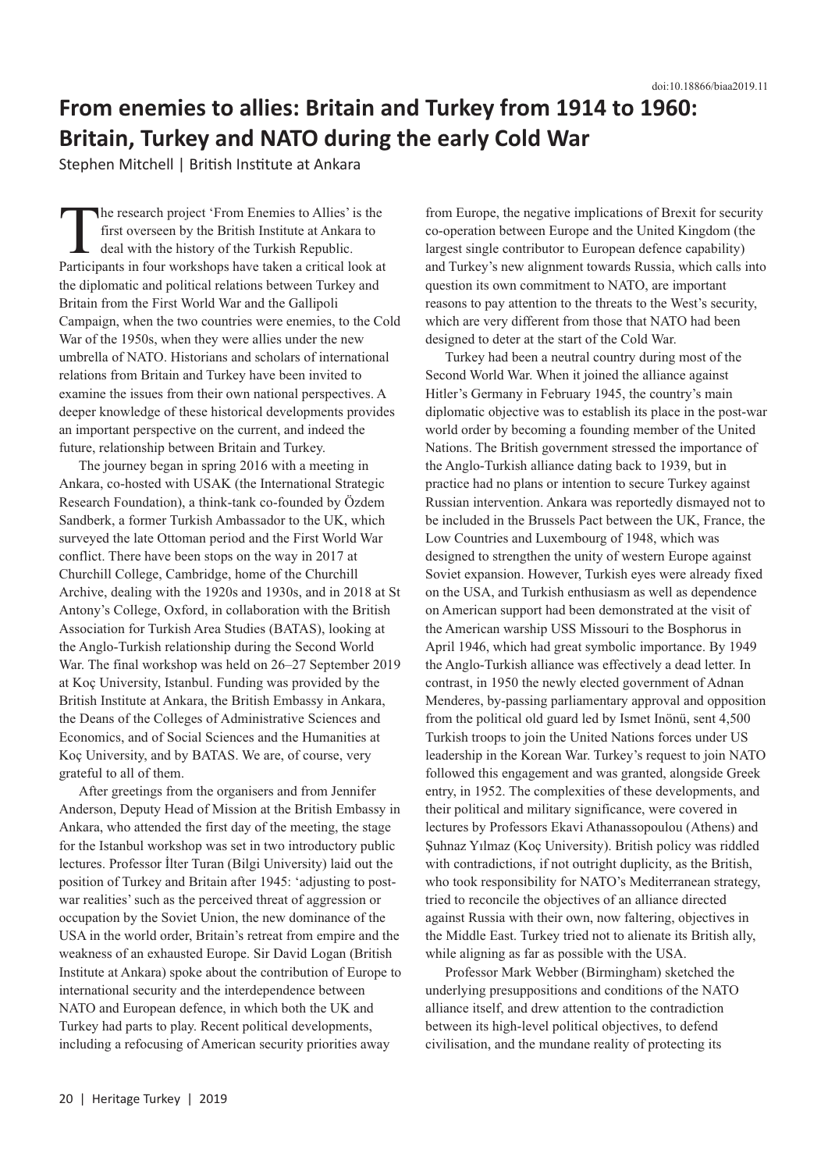## **From enemies to allies: Britain and Turkey from 1914 to 1960: Britain, Turkey and NATO during the early Cold War**

Stephen Mitchell | British Institute at Ankara

The research project 'From Enemies to Allies' is the<br>first overseen by the British Institute at Ankara to<br>deal with the history of the Turkish Republic.<br>Participants in four workshops have taken a critical look a first overseen by the British Institute at Ankara to deal with the history of the Turkish Republic. Participants in four workshops have taken a critical look at the diplomatic and political relations between Turkey and Britain from the First World War and the Gallipoli Campaign, when the two countries were enemies, to the Cold War of the 1950s, when they were allies under the new umbrella of NATO. Historians and scholars of international relations from Britain and Turkey have been invited to examine the issues from their own national perspectives. A deeper knowledge of these historical developments provides an important perspective on the current, and indeed the future, relationship between Britain and Turkey.

The journey began in spring 2016 with a meeting in Ankara, co-hosted with USAK (the International Strategic Research Foundation), a think-tank co-founded by Özdem Sandberk, a former Turkish Ambassador to the UK, which surveyed the late Ottoman period and the First World War conflict. There have been stops on the way in 2017 at Churchill College, Cambridge, home of the Churchill Archive, dealing with the 1920s and 1930s, and in 2018 at St Antony's College, Oxford, in collaboration with the British Association for Turkish Area Studies (BATAS), looking at the Anglo-Turkish relationship during the Second World War. The final workshop was held on 26–27 September 2019 at Koç University, Istanbul. Funding was provided by the British Institute at Ankara, the British Embassy in Ankara, the Deans of the Colleges of Administrative Sciences and Economics, and of Social Sciences and the Humanities at Koç University, and by BATAS. We are, of course, very grateful to all of them.

After greetings from the organisers and from Jennifer Anderson, Deputy Head of Mission at the British Embassy in Ankara, who attended the first day of the meeting, the stage for the Istanbul workshop was set in two introductory public lectures. Professor İlter Turan (Bilgi University) laid out the position of Turkey and Britain after 1945: 'adjusting to postwar realities' such as the perceived threat of aggression or occupation by the Soviet Union, the new dominance of the USA in the world order, Britain's retreat from empire and the weakness of an exhausted Europe. Sir David Logan (British Institute at Ankara) spoke about the contribution of Europe to international security and the interdependence between NATO and European defence, in which both the UK and Turkey had parts to play. Recent political developments, including a refocusing of American security priorities away

from Europe, the negative implications of Brexit for security co-operation between Europe and the United Kingdom (the largest single contributor to European defence capability) and Turkey's new alignment towards Russia, which calls into question its own commitment to NATO, are important reasons to pay attention to the threats to the West's security, which are very different from those that NATO had been designed to deter at the start of the Cold War.

Turkey had been a neutral country during most of the Second World War. When it joined the alliance against Hitler's Germany in February 1945, the country's main diplomatic objective was to establish its place in the post-war world order by becoming a founding member of the United Nations. The British government stressed the importance of the Anglo-Turkish alliance dating back to 1939, but in practice had no plans or intention to secure Turkey against Russian intervention. Ankara was reportedly dismayed not to be included in the Brussels Pact between the UK, France, the Low Countries and Luxembourg of 1948, which was designed to strengthen the unity of western Europe against Soviet expansion. However, Turkish eyes were already fixed on the USA, and Turkish enthusiasm as well as dependence on American support had been demonstrated at the visit of the American warship USS Missouri to the Bosphorus in April 1946, which had great symbolic importance. By 1949 the Anglo-Turkish alliance was effectively a dead letter. In contrast, in 1950 the newly elected government of Adnan Menderes, by-passing parliamentary approval and opposition from the political old guard led by Ismet Inönü, sent 4,500 Turkish troops to join the United Nations forces under US leadership in the Korean War. Turkey's request to join NATO followed this engagement and was granted, alongside Greek entry, in 1952. The complexities of these developments, and their political and military significance, were covered in lectures by Professors Ekavi Athanassopoulou (Athens) and Şuhnaz Yılmaz (Koç University). British policy was riddled with contradictions, if not outright duplicity, as the British, who took responsibility for NATO's Mediterranean strategy, tried to reconcile the objectives of an alliance directed against Russia with their own, now faltering, objectives in the Middle East. Turkey tried not to alienate its British ally, while aligning as far as possible with the USA.

Professor Mark Webber (Birmingham) sketched the underlying presuppositions and conditions of the NATO alliance itself, and drew attention to the contradiction between its high-level political objectives, to defend civilisation, and the mundane reality of protecting its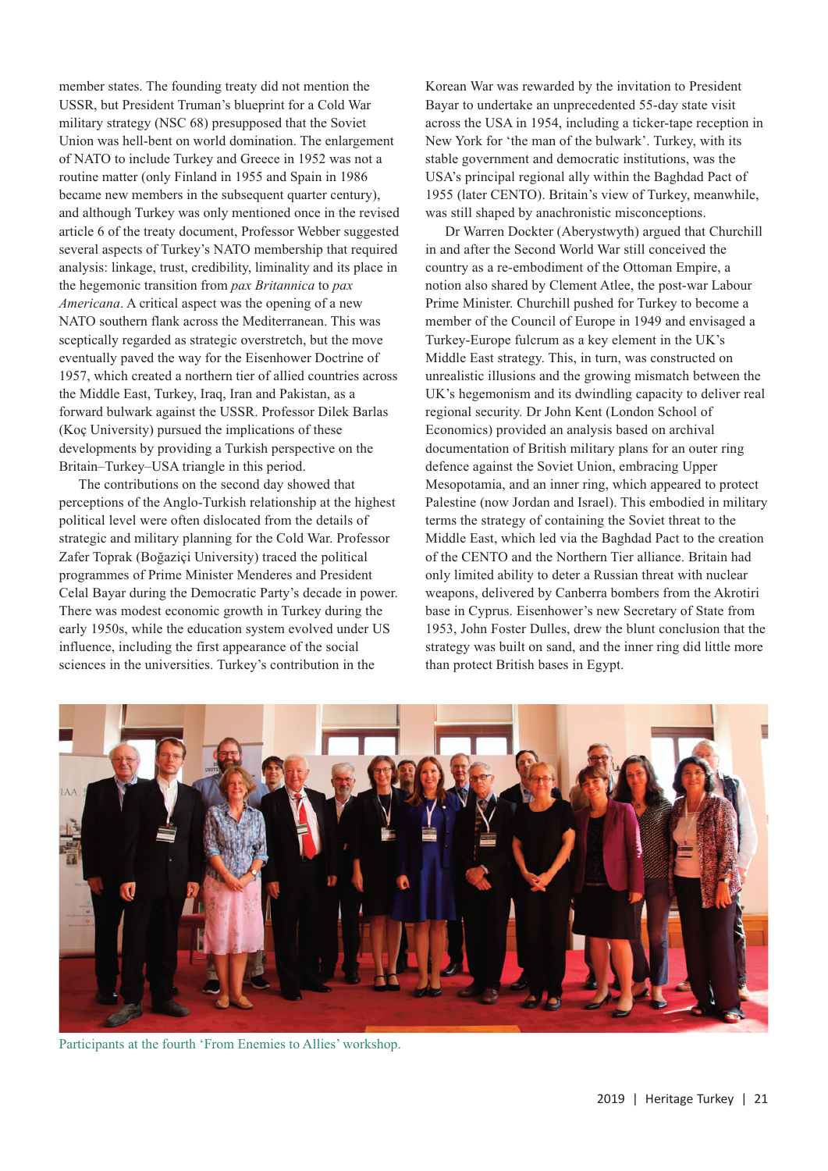member states. The founding treaty did not mention the USSR, but President Truman's blueprint for a Cold War military strategy (NSC 68) presupposed that the Soviet Union was hell-bent on world domination. The enlargement of NATO to include Turkey and Greece in 1952 was not a routine matter (only Finland in 1955 and Spain in 1986 became new members in the subsequent quarter century), and although Turkey was only mentioned once in the revised article 6 of the treaty document, Professor Webber suggested several aspects of Turkey's NATO membership that required analysis: linkage, trust, credibility, liminality and its place in the hegemonic transition from *pax Britannica* to *pax Americana*. A critical aspect was the opening of a new NATO southern flank across the Mediterranean. This was sceptically regarded as strategic overstretch, but the move eventually paved the way for the Eisenhower Doctrine of 1957, which created a northern tier of allied countries across the Middle East, Turkey, Iraq, Iran and Pakistan, as a forward bulwark against the USSR. Professor Dilek Barlas (Koç University) pursued the implications of these developments by providing a Turkish perspective on the Britain–Turkey–USA triangle in this period.

The contributions on the second day showed that perceptions of the Anglo-Turkish relationship at the highest political level were often dislocated from the details of strategic and military planning for the Cold War. Professor Zafer Toprak (Boğaziçi University) traced the political programmes of Prime Minister Menderes and President Celal Bayar during the Democratic Party's decade in power. There was modest economic growth in Turkey during the early 1950s, while the education system evolved under US influence, including the first appearance of the social sciences in the universities. Turkey's contribution in the

Korean War was rewarded by the invitation to President Bayar to undertake an unprecedented 55-day state visit across the USA in 1954, including a ticker-tape reception in New York for 'the man of the bulwark'. Turkey, with its stable government and democratic institutions, was the USA's principal regional ally within the Baghdad Pact of 1955 (later CENTO). Britain's view of Turkey, meanwhile, was still shaped by anachronistic misconceptions.

Dr Warren Dockter (Aberystwyth) argued that Churchill in and after the Second World War still conceived the country as a re-embodiment of the Ottoman Empire, a notion also shared by Clement Atlee, the post-war Labour Prime Minister. Churchill pushed for Turkey to become a member of the Council of Europe in 1949 and envisaged a Turkey-Europe fulcrum as a key element in the UK's Middle East strategy. This, in turn, was constructed on unrealistic illusions and the growing mismatch between the UK's hegemonism and its dwindling capacity to deliver real regional security. Dr John Kent (London School of Economics) provided an analysis based on archival documentation of British military plans for an outer ring defence against the Soviet Union, embracing Upper Mesopotamia, and an inner ring, which appeared to protect Palestine (now Jordan and Israel). This embodied in military terms the strategy of containing the Soviet threat to the Middle East, which led via the Baghdad Pact to the creation of the CENTO and the Northern Tier alliance. Britain had only limited ability to deter a Russian threat with nuclear weapons, delivered by Canberra bombers from the Akrotiri base in Cyprus. Eisenhower's new Secretary of State from 1953, John Foster Dulles, drew the blunt conclusion that the strategy was built on sand, and the inner ring did little more than protect British bases in Egypt.



Participants at the fourth 'From Enemies to Allies' workshop.